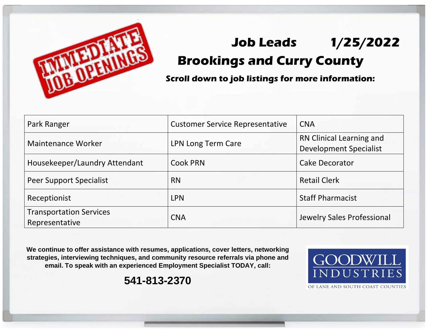

## **Job Leads 1/25/2022 Brookings and Curry County**

**Scroll down to job listings for more information:**

| Park Ranger                                      | <b>Customer Service Representative</b> | <b>CNA</b>                                                |
|--------------------------------------------------|----------------------------------------|-----------------------------------------------------------|
| <b>Maintenance Worker</b>                        | LPN Long Term Care                     | RN Clinical Learning and<br><b>Development Specialist</b> |
| Housekeeper/Laundry Attendant                    | <b>Cook PRN</b>                        | <b>Cake Decorator</b>                                     |
| Peer Support Specialist                          | <b>RN</b>                              | <b>Retail Clerk</b>                                       |
| Receptionist                                     | <b>LPN</b>                             | <b>Staff Pharmacist</b>                                   |
| <b>Transportation Services</b><br>Representative | <b>CNA</b>                             | Jewelry Sales Professional                                |

**We continue to offer assistance with resumes, applications, cover letters, networking strategies, interviewing techniques, and community resource referrals via phone and email. To speak with an experienced Employment Specialist TODAY, call:** 

**541-813-2370**



OF LANE AND SOUTH COAST COUNTIES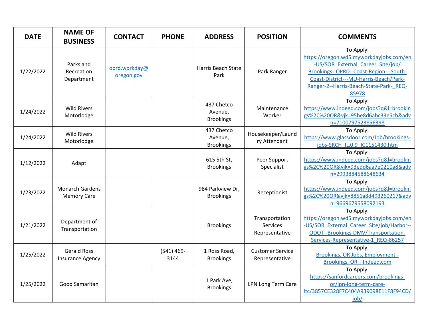| <b>DATE</b> | <b>NAME OF</b><br><b>BUSINESS</b>             | <b>CONTACT</b>              | <b>PHONE</b>          | <b>ADDRESS</b>                            | <b>POSITION</b>                              | <b>COMMENTS</b>                                                                                                                                                                                                                   |
|-------------|-----------------------------------------------|-----------------------------|-----------------------|-------------------------------------------|----------------------------------------------|-----------------------------------------------------------------------------------------------------------------------------------------------------------------------------------------------------------------------------------|
| 1/22/2022   | Parks and<br>Recreation<br>Department         | oprd.workday@<br>oregon.gov |                       | Harris Beach State<br>Park                | Park Ranger                                  | To Apply:<br>https://oregon.wd5.myworkdayjobs.com/en<br>-US/SOR External Career Site/job/<br>Brookings--OPRD--Coast-Region---South-<br>Coast-District---MU-Harris-Beach/Park-<br>Ranger-2--Harris-Beach-State-Park- REQ-<br>85978 |
| 1/24/2022   | <b>Wild Rivers</b><br>Motorlodge              |                             |                       | 437 Chetco<br>Avenue,<br><b>Brookings</b> | Maintenance<br>Worker                        | To Apply:<br>https://www.indeed.com/jobs?q&l=brookin<br>gs%2C%20OR&vjk=95be8d6abc33e5cb&adv<br>n=7100797523856398                                                                                                                 |
| 1/24/2022   | <b>Wild Rivers</b><br>Motorlodge              |                             |                       | 437 Chetco<br>Avenue,<br><b>Brookings</b> | Housekeeper/Laund<br>ry Attendant            | To Apply:<br>https://www.glassdoor.com/Job/brookings-<br>jobs-SRCH IL.0,9 IC1151430.htm                                                                                                                                           |
| 1/12/2022   | Adapt                                         |                             |                       | 615 5th St,<br><b>Brookings</b>           | Peer Support<br>Specialist                   | To Apply:<br>https://www.indeed.com/jobs?q&l=brookin<br>gs%2C%20OR&vjk=93edd6aa7e0210a8&adv<br>n=2993884588648634                                                                                                                 |
| 1/23/2022   | <b>Monarch Gardens</b><br><b>Memory Care</b>  |                             |                       | 984 Parkview Dr,<br><b>Brookings</b>      | Receptionist                                 | To Apply:<br>https://www.indeed.com/jobs?q&l=brookin<br>gs%2C%20OR&vjk=8851a8d493260217&adv<br>n=9669679558092193                                                                                                                 |
| 1/21/2022   | Department of<br>Transportation               |                             |                       | <b>Brookings</b>                          | Transportation<br>Services<br>Representative | To Apply:<br>https://oregon.wd5.myworkdayjobs.com/en<br>-US/SOR External Career Site/job/Harbor--<br>ODOT--Brookings-DMV/Transportation-<br>Services-Representative-1_REQ-86257                                                   |
| 1/25/2022   | <b>Gerald Ross</b><br><b>Insurance Agency</b> |                             | $(541) 469 -$<br>3144 | 1 Ross Road,<br><b>Brookings</b>          | <b>Customer Service</b><br>Representative    | To Apply:<br>Brookings, OR Jobs, Employment -<br>Brookings, OR   Indeed.com                                                                                                                                                       |
| 1/25/2022   | Good Samaritan                                |                             |                       | 1 Park Ave,<br><b>Brookings</b>           | LPN Long Term Care                           | To Apply:<br>https://sanfordcareers.com/brookings-<br>or/lpn-long-term-care-<br>ltc/3857CE328F7C404A939098E11F8F94CD/<br>job/                                                                                                     |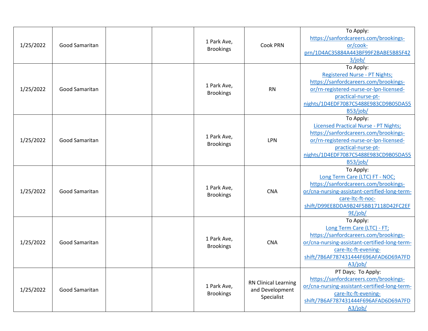| 1/25/2022 | <b>Good Samaritan</b> | 1 Park Ave,<br><b>Brookings</b> | Cook PRN                                                     | To Apply:<br>https://sanfordcareers.com/brookings-<br>or/cook-<br>prn/1D4AC35884A443BF99F2BABE5B85F42<br>3/job/                                                                                                          |
|-----------|-----------------------|---------------------------------|--------------------------------------------------------------|--------------------------------------------------------------------------------------------------------------------------------------------------------------------------------------------------------------------------|
| 1/25/2022 | Good Samaritan        | 1 Park Ave,<br><b>Brookings</b> | <b>RN</b>                                                    | To Apply:<br><b>Registered Nurse - PT Nights;</b><br>https://sanfordcareers.com/brookings-<br>or/rn-registered-nurse-or-lpn-licensed-<br>practical-nurse-pt-<br>nights/1D4EDF7087C5488E983CD9B05DA55<br>B53/job/         |
| 1/25/2022 | Good Samaritan        | 1 Park Ave,<br><b>Brookings</b> | <b>LPN</b>                                                   | To Apply:<br><b>Licensed Practical Nurse - PT Nights;</b><br>https://sanfordcareers.com/brookings-<br>or/rn-registered-nurse-or-lpn-licensed-<br>practical-nurse-pt-<br>nights/1D4EDF7087C5488E983CD9B05DA55<br>B53/job/ |
| 1/25/2022 | Good Samaritan        | 1 Park Ave,<br><b>Brookings</b> | <b>CNA</b>                                                   | To Apply:<br>Long Term Care (LTC) FT - NOC;<br>https://sanfordcareers.com/brookings-<br>or/cna-nursing-assistant-certified-long-term-<br>care-ltc-ft-noc-<br>shift/D99EE8DDA9B24F5BB17118D42FC2EF<br>9E/job/             |
| 1/25/2022 | Good Samaritan        | 1 Park Ave,<br><b>Brookings</b> | <b>CNA</b>                                                   | To Apply:<br>Long Term Care (LTC) - FT;<br>https://sanfordcareers.com/brookings-<br>or/cna-nursing-assistant-certified-long-term-<br>care-ltc-ft-evening-<br>shift/7B6AF787431444F696AFAD6D69A7FD<br>A3/job/             |
| 1/25/2022 | <b>Good Samaritan</b> | 1 Park Ave,<br><b>Brookings</b> | <b>RN Clinical Learning</b><br>and Development<br>Specialist | PT Days; To Apply:<br>https://sanfordcareers.com/brookings-<br>or/cna-nursing-assistant-certified-long-term-<br>care-ltc-ft-evening-<br>shift/7B6AF787431444F696AFAD6D69A7FD<br>A3/job/                                  |